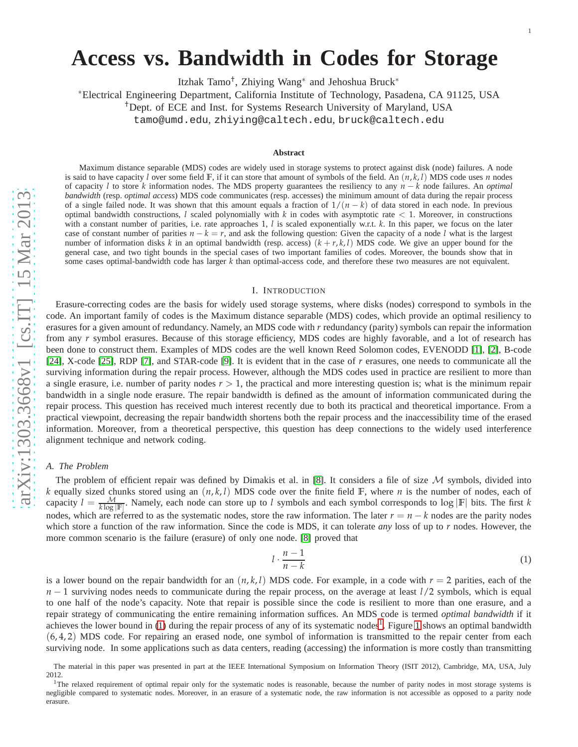# **Access vs. Bandwidth in Codes for Storage**

Itzhak Tamo<sup>†</sup>, Zhiying Wang<sup>\*</sup> and Jehoshua Bruck<sup>\*</sup>

<sup>∗</sup>Electrical Engineering Department, California Institute of Technology, Pasadena, CA 91125, USA

†Dept. of ECE and Inst. for Systems Research University of Maryland, USA

tamo@umd.edu , zhiying@caltech.edu , bruck@caltech.edu

#### **Abstract**

Maximum distance separable (MDS) codes are widely used in storage systems to protect against disk (node) failures. A nod e is said to have capacity *l* over some field  $\mathbb{F}$ , if it can store that amount of symbols of the field. An  $(n, k, l)$  MDS code uses *n* nodes of capacity *l* to store *k* information nodes. The MDS property guarantees the resiliency to any *n* − *k* node failures. An *optimal bandwidth* (resp. *optimal access*) MDS code communicates (resp. accesses) the minimum amount of data during the repair process of a single failed node. It was shown that this amount equals a fraction of  $1/(n-k)$  of data stored in each node. In previous optimal bandwidth constructions, *l* scaled polynomially with *k* in codes with asymptotic rate < 1. Moreover, in constructions with a constant number of parities, i.e. rate approaches 1, *l* is scaled exponentially w.r.t. k. In this paper, we focus on the later case of constant number of parities  $n - k = r$ , and ask the following question: Given the capacity of a node *l* what is the largest number of information disks  $k$  in an optimal bandwidth (resp. access)  $(k + r, k, l)$  MDS code. We give an upper bound for the general case, and two tight bounds in the special cases of two important families of codes. Moreover, the bounds show that in some cases optimal-bandwidth code has larger *k* than optimal-access code, and therefore these two measures are not equivalent.

## I. INTRODUCTION

Erasure-correcting codes are the basis for widely used storage systems, where disks (nodes) correspond to symbols in th e code. An important family of codes is the Maximum distance separable (MDS) codes, which provide an optimal resiliency to erasures for a given amount of redundancy. Namely, an MDS code with *r* redundancy (parity) symbols can repair the information from any *r* symbol erasures. Because of this storage efficiency, MDS codes are highly favorable, and a lot of research has been done to construct them. Examples of MDS codes are the well known Reed Solomon codes, EVENODD [\[1\]](#page-11-0), [\[2\]](#page-11-1), B-code [\[24\]](#page-12-0), X-code [\[25\]](#page-12-1), RDP [\[7\]](#page-11-2), and STAR-code [\[9\]](#page-11-3). It is evident that in the case of *r* erasures, one needs to communicate all the surviving information during the repair process. However, although the MDS codes used in practice are resilient to more than a single erasure, i.e. number of parity nodes  $r > 1$ , the practical and more interesting question is; what is the minimum repair bandwidth in a single node erasure. The repair bandwidth is defined as the amount of information communicated during the repair process. This question has received much interest recently due to both its practical and theoretical importance. From a practical viewpoint, decreasing the repair bandwidth shortens both the repair process and the inaccessibility time of the erased information. Moreover, from a theoretical perspective, this question has deep connections to the widely used interference alignment technique and network coding.

## *A. The Problem*

The problem of efficient repair was defined by Dimakis et al. in [\[8\]](#page-11-4). It considers a file of size  $M$  symbols, divided into *k* equally sized chunks stored using an  $(n, k, l)$  MDS code over the finite field  $\mathbb{F}$ , where *n* is the number of nodes, each of capacity  $l = \frac{M}{k \log |\mathbb{F}|}$ . Namely, each node can store up to l symbols and each symbol corresponds to log  $|\mathbb{F}|$  bits. The first k nodes, which are referred to as the systematic nodes, store the raw information. The later  $r = n - k$  nodes are the parity nodes which store a function of the raw information. Since the code is MDS, it can tolerate *any* loss of up to *r* nodes. However, the more common scenario is the failure (erasure) of only one node. [\[8\]](#page-11-4) proved that

<span id="page-0-0"></span>
$$
l \cdot \frac{n-1}{n-k} \tag{1}
$$

is a lower bound on the repair bandwidth for an  $(n, k, l)$  MDS code. For example, in a code with  $r = 2$  parities, each of the *n* − 1 surviving nodes needs to communicate during the repair process, on the average at least  $l/2$  symbols, which is equal to one half of the node's capacity. Note that repair is possible since the code is resilient to more than one erasure, and a repair strategy of communicating the entire remaining information suffices. An MDS code is termed *optimal bandwidth* if it achieves the lower bound in [\(1\)](#page-0-0) during the repair process of any of its systematic nodes<sup>[1](#page-0-1)</sup>. Figure [1](#page-1-0) shows an optimal bandwidth (6, 4, 2 ) MDS code. For repairing an erased node, one symbol of information is transmitted to the repair center from each surviving node. In some applications such as data centers, reading (accessing) the information is more costly than transmitting

The material in this paper was presented in part at the IEEE International Symposium on Information Theory (ISIT 2012), Cambridge, MA, USA, July 2012.

<span id="page-0-1"></span><sup>&</sup>lt;sup>1</sup>The relaxed requirement of optimal repair only for the systematic nodes is reasonable, because the number of parity nodes in most storage systems is negligible compared to systematic nodes. Moreover, in an erasure of a systematic node, the raw information is not accessible as opposed to a parity node erasure.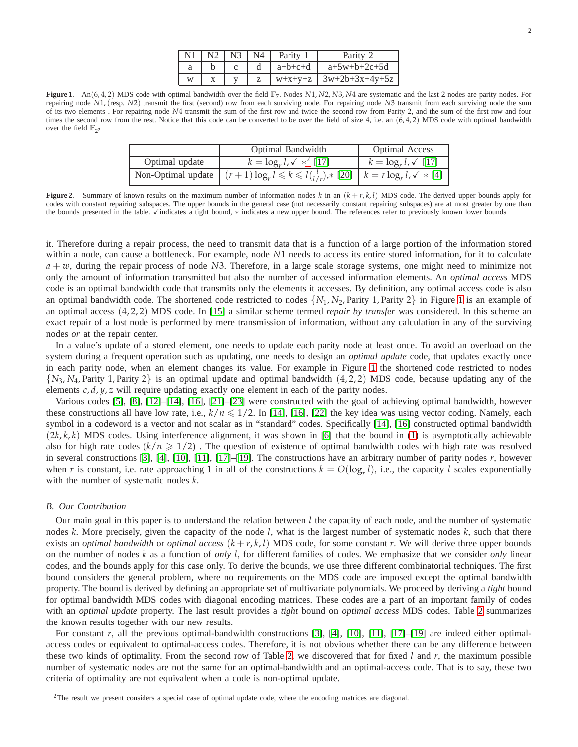| $\vert$ N1 $\vert$ N2 $\vert$ N3 $\vert$ N4 |  | Parity    | Parity 2         |
|---------------------------------------------|--|-----------|------------------|
|                                             |  | $a+b+c+d$ | $a+5w+b+2c+5d$   |
| w                                           |  | $W+X+V+Z$ | $3w+2b+3x+4y+5z$ |

<span id="page-1-0"></span>**Figure 1**. An(6, 4, 2) MDS code with optimal bandwidth over the field **F**7. Nodes *N*1, *N*2, *N*3, *N*4 are systematic and the last 2 nodes are parity nodes. For repairing node *N*1, (resp. *N*2) transmit the first (second) row from each surviving node. For repairing node *N*3 transmit from each surviving node the sum of its two elements . For repairing node *N*4 transmit the sum of the first row and twice the second row from Parity 2, and the sum of the first row and four times the second row from the rest. Notice that this code can be converted to be over the field of size 4, i.e. an  $(6, 4, 2)$  MDS code with optimal bandwidth over the field  $\mathbb{F}_{2^2}$ 

|                    | Optimal Bandwidth                                                                      | <b>Optimal Access</b>       |
|--------------------|----------------------------------------------------------------------------------------|-----------------------------|
| Optimal update     | $k = \log_e l$ , $\sqrt{*^2}$ [17]                                                     | $k = \log_{r} l, \sqrt{17}$ |
| Non-Optimal update | $(r+1)\log_r l \leq k \leq l_{1/r}^{l},\qquad$ [20] $k = r \log_r l, \checkmark$ * [4] |                             |

<span id="page-1-2"></span>**Figure 2.** Summary of known results on the maximum number of information nodes  $k$  in an  $(k + r, k, l)$  MDS code. The derived upper bounds apply for codes with constant repairing subspaces. The upper bounds in the general case (not necessarily constant repairing subspaces) are at most greater by one than the bounds presented in the table. Vindicates a tight bound, \* indicates a new upper bound. The references refer to previously known lower bounds

it. Therefore during a repair process, the need to transmit data that is a function of a large portion of the information stored within a node, can cause a bottleneck. For example, node *N*1 needs to access its entire stored information, for it to calculate *a* + *w*, during the repair process of node *N*3. Therefore, in a large scale storage systems, one might need to minimize not only the amount of information transmitted but also the number of accessed information elements. An *optimal access* MDS code is an optimal bandwidth code that transmits only the elements it accesses. By definition, any optimal access code is also an optimal bandwidth code. The shortened code restricted to nodes  $\{N_1, N_2,$  Parity [1](#page-1-0), Parity 2 $\}$  in Figure 1 is an example of an optimal access (4, 2, 2) MDS code. In [\[15\]](#page-11-8) a similar scheme termed *repair by transfer* was considered. In this scheme an exact repair of a lost node is performed by mere transmission of information, without any calculation in any of the surviving nodes *or* at the repair center.

In a value's update of a stored element, one needs to update each parity node at least once. To avoid an overload on the system during a frequent operation such as updating, one needs to design an *optimal update* code, that updates exactly once in each parity node, when an element changes its value. For example in Figure [1](#page-1-0) the shortened code restricted to nodes  $\{N_3, N_4,$  Parity 1, Parity 2} is an optimal update and optimal bandwidth  $(4, 2, 2)$  MDS code, because updating any of the elements *c*, *d*, *y*, *z* will require updating exactly one element in each of the parity nodes.

Various codes [\[5\]](#page-11-9), [\[8\]](#page-11-4), [\[12\]](#page-11-10)–[\[14\]](#page-11-11), [\[16\]](#page-11-12), [\[21\]](#page-11-13)–[\[23\]](#page-11-14) were constructed with the goal of achieving optimal bandwidth, however these constructions all have low rate, i.e.,  $k/n \leq 1/2$ . In [\[14\]](#page-11-11), [\[16\]](#page-11-12), [\[22\]](#page-11-15) the key idea was using vector coding. Namely, each symbol in a codeword is a vector and not scalar as in "standard" codes. Specifically [\[14\]](#page-11-11), [\[16\]](#page-11-12) constructed optimal bandwidth  $(2k, k, k)$  MDS codes. Using interference alignment, it was shown in [\[6\]](#page-11-16) that the bound in [\(1\)](#page-0-0) is asymptotically achievable also for high rate codes  $(k/n \geq 1/2)$ . The question of existence of optimal bandwidth codes with high rate was resolved in several constructions [\[3\]](#page-11-17), [\[4\]](#page-11-7), [\[10\]](#page-11-18), [\[11\]](#page-11-19), [\[17\]](#page-11-5)–[\[19\]](#page-11-20). The constructions have an arbitrary number of parity nodes *r*, however when *r* is constant, i.e. rate approaching 1 in all of the constructions  $k = O(\log_r l)$ , i.e., the capacity *l* scales exponentially with the number of systematic nodes *k*.

#### *B. Our Contribution*

Our main goal in this paper is to understand the relation between *l* the capacity of each node, and the number of systematic nodes *k*. More precisely, given the capacity of the node *l*, what is the largest number of systematic nodes *k*, such that there exists an *optimal bandwidth* or *optimal access*  $(k + r, k, l)$  MDS code, for some constant *r*. We will derive three upper bounds on the number of nodes *k* as a function of *only l*, for different families of codes. We emphasize that we consider *only* linear codes, and the bounds apply for this case only. To derive the bounds, we use three different combinatorial techniques. The first bound considers the general problem, where no requirements on the MDS code are imposed except the optimal bandwidth property. The bound is derived by defining an appropriate set of multivariate polynomials. We proceed by deriving a *tight* bound for optimal bandwidth MDS codes with diagonal encoding matrices. These codes are a part of an important family of codes with an *optimal update* property. The last result provides a *tight* bound on *optimal access* MDS codes. Table [2](#page-1-2) summarizes the known results together with our new results.

For constant *r*, all the previous optimal-bandwidth constructions [\[3\]](#page-11-17), [\[4\]](#page-11-7), [\[10\]](#page-11-18), [\[11\]](#page-11-19), [\[17\]](#page-11-5)–[\[19\]](#page-11-20) are indeed either optimalaccess codes or equivalent to optimal-access codes. Therefore, it is not obvious whether there can be any difference between these two kinds of optimality. From the second row of Table [2,](#page-1-2) we discovered that for fixed *l* and *r*, the maximum possible number of systematic nodes are not the same for an optimal-bandwidth and an optimal-access code. That is to say, these two criteria of optimality are not equivalent when a code is non-optimal update.

<span id="page-1-1"></span> $2$ The result we present considers a special case of optimal update code, where the encoding matrices are diagonal.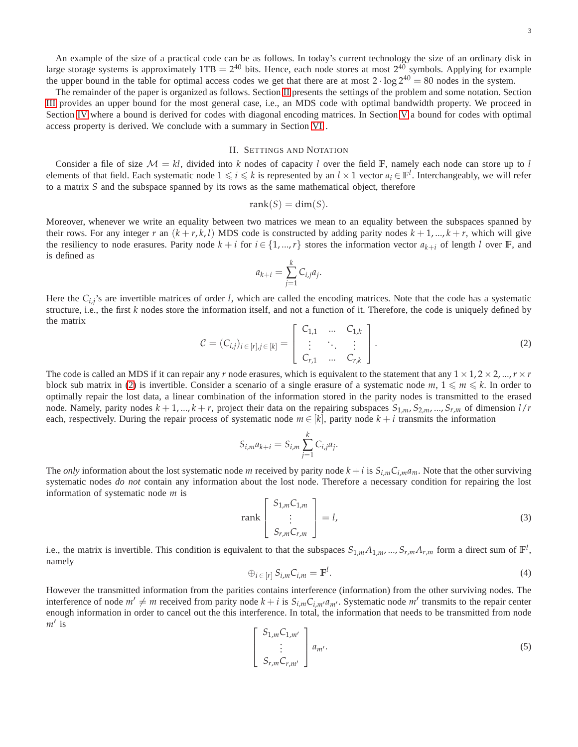An example of the size of a practical code can be as follows. In today's current technology the size of an ordinary disk in large storage systems is approximately  $1TB = 2^{40}$  bits. Hence, each node stores at most  $2^{40}$  symbols. Applying for example the upper bound in the table for optimal access codes we get that there are at most  $2 \cdot \log 2^{40} = 80$  nodes in the system.

The remainder of the paper is organized as follows. Section [II](#page-2-0) presents the settings of the problem and some notation. Section [III](#page-4-0) provides an upper bound for the most general case, i.e., an MDS code with optimal bandwidth property. We proceed in Section [IV](#page-5-0) where a bound is derived for codes with diagonal encoding matrices. In Section [V](#page-8-0) a bound for codes with optimal access property is derived. We conclude with a summary in Section [VI](#page-9-0) .

## II. SETTINGS AND NOTATION

<span id="page-2-0"></span>Consider a file of size  $M = kl$ , divided into k nodes of capacity l over the field F, namely each node can store up to l elements of that field. Each systematic node  $1 \leq i \leq k$  is represented by an  $l \times 1$  vector  $a_i \in \mathbb{F}^l$ . Interchangeably, we will refer to a matrix *S* and the subspace spanned by its rows as the same mathematical object, therefore

$$
rank(S) = dim(S).
$$

Moreover, whenever we write an equality between two matrices we mean to an equality between the subspaces spanned by their rows. For any integer *r* an  $(k + r, k, l)$  MDS code is constructed by adding parity nodes  $k + 1, ..., k + r$ , which will give the resiliency to node erasures. Parity node  $k + i$  for  $i \in \{1, ..., r\}$  stores the information vector  $a_{k+i}$  of length *l* over **F**, and is defined as

$$
a_{k+i} = \sum_{j=1}^k C_{i,j} a_j.
$$

Here the  $C_{i,j}$ 's are invertible matrices of order *l*, which are called the encoding matrices. Note that the code has a systematic structure, i.e., the first *k* nodes store the information itself, and not a function of it. Therefore, the code is uniquely defined by the matrix

<span id="page-2-1"></span>
$$
C = (C_{i,j})_{i \in [r], j \in [k]} = \begin{bmatrix} C_{1,1} & \dots & C_{1,k} \\ \vdots & \ddots & \vdots \\ C_{r,1} & \dots & C_{r,k} \end{bmatrix}.
$$
 (2)

The code is called an MDS if it can repair any *r* node erasures, which is equivalent to the statement that any  $1 \times 1, 2 \times 2, ..., r \times r$ block sub matrix in [\(2\)](#page-2-1) is invertible. Consider a scenario of a single erasure of a systematic node  $m, 1 \leq m \leq k$ . In order to optimally repair the lost data, a linear combination of the information stored in the parity nodes is transmitted to the erased node. Namely, parity nodes  $k + 1, ..., k + r$ , project their data on the repairing subspaces  $S_{1,m}$ ,  $S_{2,m}$ , ...,  $S_{r,m}$  of dimension  $l/r$ each, respectively. During the repair process of systematic node  $m \in [k]$ , parity node  $k + i$  transmits the information

$$
S_{i,m}a_{k+i} = S_{i,m} \sum_{j=1}^{k} C_{i,j}a_j.
$$

The *only* information about the lost systematic node *m* received by parity node  $k + i$  is  $S_{i,m}C_{i,m}a_m$ . Note that the other surviving systematic nodes *do not* contain any information about the lost node. Therefore a necessary condition for repairing the lost information of systematic node *m* is

<span id="page-2-3"></span>
$$
\operatorname{rank}\begin{bmatrix} S_{1,m}C_{1,m} \\ \vdots \\ S_{r,m}C_{r,m} \end{bmatrix} = l,\tag{3}
$$

i.e., the matrix is invertible. This condition is equivalent to that the subspaces  $S_{1,m}A_{1,m},...,S_{r,m}A_{r,m}$  form a direct sum of  $\mathbb{F}^l$ , namely

$$
\oplus_{i \in [r]} S_{i,m} C_{i,m} = \mathbb{F}^l. \tag{4}
$$

However the transmitted information from the parities contains interference (information) from the other surviving nodes. The interference of node  $m' \neq m$  received from parity node  $k + i$  is  $S_{i,m}C_{i,m'}a_{m'}$ . Systematic node  $m'$  transmits to the repair center enough information in order to cancel out the this interference. In total, the information that needs to be transmitted from node *m*′ is

<span id="page-2-2"></span>
$$
\begin{bmatrix}\nS_{1,m}C_{1,m'} \\
\vdots \\
S_{r,m}C_{r,m'}\n\end{bmatrix}\n a_{m'}.
$$
\n(5)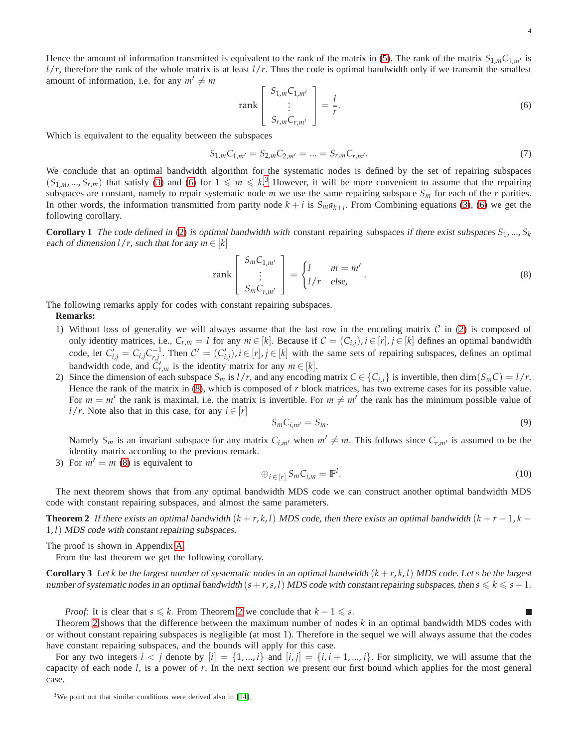Hence the amount of information transmitted is equivalent to the rank of the matrix in [\(5\)](#page-2-2). The rank of the matrix  $S_{1,m}C_{1,m'}$  is  $l/r$ , therefore the rank of the whole matrix is at least  $l/r$ . Thus the code is optimal bandwidth only if we transmit the smallest amount of information, i.e. for any  $m' \neq m$ 

<span id="page-3-0"></span>
$$
\text{rank}\begin{bmatrix} S_{1,m}C_{1,m'} \\ \vdots \\ S_{r,m}C_{r,m'} \end{bmatrix} = \frac{l}{r}.
$$
 (6)

Which is equivalent to the equality between the subspaces

$$
S_{1,m}C_{1,m'} = S_{2,m}C_{2,m'} = \dots = S_{r,m}C_{r,m'}.
$$
\n(7)

We conclude that an optimal bandwidth algorithm for the systematic nodes is defined by the set of repairing subspaces  $(S_{1,m},...,S_{r,m})$  that satisfy [\(3\)](#page-2-3) and [\(6\)](#page-3-0) for  $1 \leq m \leq k$ .<sup>[3](#page-3-1)</sup> However, it will be more convenient to assume that the repairing subspaces are constant, namely to repair systematic node  $m$  we use the same repairing subspace  $S_m$  for each of the  $r$  parities. In other words, the information transmitted from parity node  $k + i$  is  $S_m a_{k+i}$ . From Combining equations [\(3\)](#page-2-3), [\(6\)](#page-3-0) we get the following corollary.

**Corollary 1** The code defined in [\(2\)](#page-2-1) is optimal bandwidth with constant repairing subspaces if there exist subspaces  $S_1, ..., S_k$ each of dimension  $l/r$ , such that for any  $m \in [k]$ 

<span id="page-3-2"></span>
$$
\text{rank}\begin{bmatrix} S_m C_{1,m'} \\ \vdots \\ S_m C_{r,m'} \end{bmatrix} = \begin{cases} l & m = m' \\ l/r & \text{else,} \end{cases} . \tag{8}
$$

The following remarks apply for codes with constant repairing subspaces.

## **Remarks:**

- 1) Without loss of generality we will always assume that the last row in the encoding matrix  $\mathcal C$  in [\(2\)](#page-2-1) is composed of only identity matrices, i.e.,  $C_{r,m} = I$  for any  $m \in [k]$ . Because if  $C = (C_{i,j})$ ,  $i \in [r]$ ,  $j \in [k]$  defines an optimal bandwidth code, let  $C'_{i,j} = C_{i,j}C_{r,j}^{-1}$ . Then  $C' = (C'_{i,j})$ ,  $i \in [r]$ ,  $j \in [k]$  with the same sets of repairing subspaces, defines an optimal bandwidth code, and  $\hat{C}'_{r,m}$  is the identity matrix for any  $m \in [k]$ .
- 2) Since the dimension of each subspace  $S_m$  is  $l/r$ , and any encoding matrix  $C \in \{C_{i,j}\}$  is invertible, then  $\dim(S_m C) = l/r$ . Hence the rank of the matrix in [\(8\)](#page-3-2), which is composed of *r* block matrices, has two extreme cases for its possible value. For  $m = m'$  the rank is maximal, i.e. the matrix is invertible. For  $m \neq m'$  the rank has the minimum possible value of *l*/*r*. Note also that in this case, for any  $i \in [r]$

<span id="page-3-6"></span>
$$
S_m C_{i,m'} = S_m. \tag{9}
$$

Namely  $S_m$  is an invariant subspace for any matrix  $C_{i,m'}$  when  $m' \neq m$ . This follows since  $C_{r,m'}$  is assumed to be the identity matrix according to the previous remark.

3) For  $m' = m$  [\(8\)](#page-3-2) is equivalent to

<span id="page-3-5"></span><span id="page-3-4"></span><span id="page-3-3"></span>
$$
\oplus_{i \in [r]} S_m C_{i,m} = \mathbb{F}^l. \tag{10}
$$

The next theorem shows that from any optimal bandwidth MDS code we can construct another optimal bandwidth MDS code with constant repairing subspaces, and almost the same parameters.

**Theorem 2** If there exists an optimal bandwidth  $(k + r, k, l)$  MDS code, then there exists an optimal bandwidth  $(k + r - 1, k - 1, k - 1)$ 1, *l*) MDS code with constant repairing subspaces.

The proof is shown in Appendix [A.](#page-10-0)

From the last theorem we get the following corollary.

**Corollary 3** Let *k* be the largest number of systematic nodes in an optimal bandwidth  $(k + r, k, l)$  MDS code. Let *s* be the largest number of systematic nodes in an optimal bandwidth  $(s+r,s,l)$  MDS code with constant repairing subspaces, then  $s \leq k \leq s+1$ .

*Proof:* It is clear that  $s \le k$ . From Theorem [2](#page-3-3) we conclude that  $k - 1 \le s$ .

Theorem [2](#page-3-3) shows that the difference between the maximum number of nodes *k* in an optimal bandwidth MDS codes with or without constant repairing subspaces is negligible (at most 1). Therefore in the sequel we will always assume that the codes have constant repairing subspaces, and the bounds will apply for this case.

For any two integers  $i < j$  denote by  $[i] = \{1, ..., i\}$  and  $[i, j] = \{i, i+1, ..., j\}$ . For simplicity, we will assume that the capacity of each node *l*, is a power of *r*. In the next section we present our first bound which applies for the most general case.

<span id="page-3-1"></span> $3$ We point out that similar conditions were derived also in [\[14\]](#page-11-11).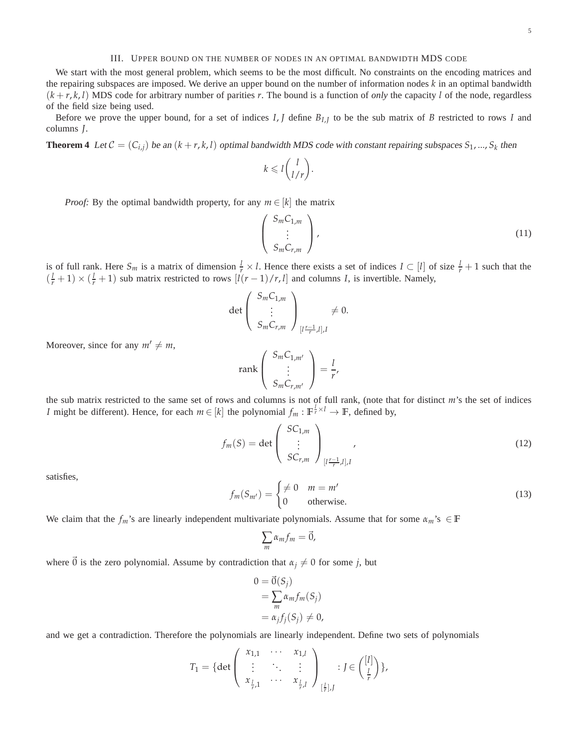## III. UPPER BOUND ON THE NUMBER OF NODES IN AN OPTIMAL BANDWIDTH MDS CODE

<span id="page-4-0"></span>We start with the most general problem, which seems to be the most difficult. No constraints on the encoding matrices and the repairing subspaces are imposed. We derive an upper bound on the number of information nodes *k* in an optimal bandwidth  $(k + r, k, l)$  MDS code for arbitrary number of parities *r*. The bound is a function of *only* the capacity *l* of the node, regardless of the field size being used.

Before we prove the upper bound, for a set of indices *I*, *J* define *BI*,*<sup>J</sup>* to be the sub matrix of *B* restricted to rows *I* and columns *J*.

**Theorem 4** Let  $C = (C_{i,j})$  be an  $(k+r, k, l)$  optimal bandwidth MDS code with constant repairing subspaces  $S_1, ..., S_k$  then

$$
k \leqslant l\binom{l}{l/r}.
$$

*Proof:* By the optimal bandwidth property, for any  $m \in [k]$  the matrix

<span id="page-4-1"></span>
$$
\begin{pmatrix} S_m C_{1,m} \\ \vdots \\ S_m C_{r,m} \end{pmatrix}, \tag{11}
$$

is of full rank. Here  $S_m$  is a matrix of dimension  $\frac{l}{r} \times l$ . Hence there exists a set of indices  $I \subset [l]$  of size  $\frac{l}{r} + 1$  such that the  $\left(\frac{l}{r} + 1\right) \times \left(\frac{l}{r} + 1\right)$  sub matrix restricted to rows  $\left[l(r-1)/r, l\right]$  and columns *I*, is invertible. Namely,

$$
\det\left(\begin{array}{c} S_m C_{1,m} \\ \vdots \\ S_m C_{r,m} \end{array}\right)_{[t\frac{r-1}{r},l],I} \neq 0.
$$

Moreover, since for any  $m' \neq m$ ,

$$
\operatorname{rank}\left(\begin{array}{c} S_m C_{1,m'} \\ \vdots \\ S_m C_{r,m'} \end{array}\right) = \frac{l}{r'},
$$

the sub matrix restricted to the same set of rows and columns is not of full rank, (note that for distinct *m*'s the set of indices *I* might be different). Hence, for each  $m \in [k]$  the polynomial  $f_m : \mathbb{F}^{\frac{1}{r} \times l} \to \mathbb{F}$ , defined by,

<span id="page-4-2"></span>
$$
f_m(S) = \det \begin{pmatrix} SC_{1,m} \\ \vdots \\ SC_{r,m} \end{pmatrix}_{[I\frac{r-1}{r},I],I}, \qquad (12)
$$

satisfies,

$$
f_m(S_{m'}) = \begin{cases} \neq 0 & m = m' \\ 0 & \text{otherwise.} \end{cases}
$$
 (13)

We claim that the  $f_m$ 's are linearly independent multivariate polynomials. Assume that for some  $\alpha_m$ 's ∈ **F** 

$$
\sum_m \alpha_m f_m = \vec{0},
$$

where  $\vec{0}$  is the zero polynomial. Assume by contradiction that  $\alpha_j \neq 0$  for some *j*, but

$$
0 = \vec{0}(S_j)
$$
  
= 
$$
\sum_{m} \alpha_m f_m(S_j)
$$
  
= 
$$
\alpha_j f_j(S_j) \neq 0,
$$

and we get a contradiction. Therefore the polynomials are linearly independent. Define two sets of polynomials

$$
T_1 = \{ \det \left( \begin{array}{ccc} x_{1,1} & \cdots & x_{1,l} \\ \vdots & \ddots & \vdots \\ x_{\frac{l}{r},1} & \cdots & x_{\frac{l}{r},l} \end{array} \right)_{\left[\frac{l}{r}\right],J} : J \in \left( \begin{array}{c} [l] \\ \frac{l}{r} \end{array} \right) \},
$$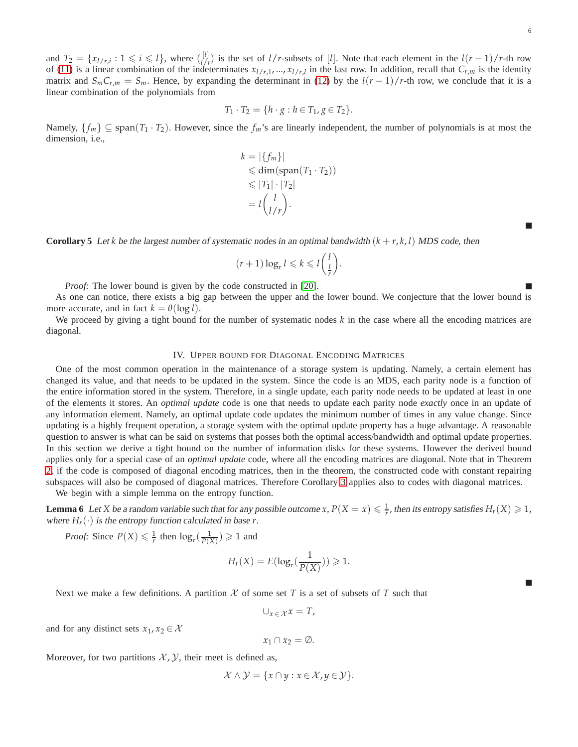and  $T_2 = \{x_{l/r,i} : 1 \leq i \leq l\}$ , where  $\binom{[l]}{l/r}$  $\frac{l^{[l]}_{l}}{l^{r}}$  is the set of *l*/*r*-subsets of [*l*]. Note that each element in the  $l(r-1)/r$ -th row of [\(11\)](#page-4-1) is a linear combination of the indeterminates  $x_{l/r,1},...,x_{l/r,l}$  in the last row. In addition, recall that  $C_{r,m}$  is the identity matrix and  $S_m C_{r,m} = S_m$ . Hence, by expanding the determinant in [\(12\)](#page-4-2) by the  $l(r-1)/r$ -th row, we conclude that it is a linear combination of the polynomials from

$$
T_1 \cdot T_2 = \{ h \cdot g : h \in T_1, g \in T_2 \}.
$$

Namely,  $\{f_m\} \subseteq \text{span}(T_1 \cdot T_2)$ . However, since the  $f_m$ 's are linearly independent, the number of polynomials is at most the dimension, i.e.,

$$
k = |\{f_m\}|
$$
  
\n
$$
\leq \dim(\text{span}(T_1 \cdot T_2))
$$
  
\n
$$
\leq |T_1| \cdot |T_2|
$$
  
\n
$$
= l {l \choose l/r}.
$$

**Corollary 5** Let *k* be the largest number of systematic nodes in an optimal bandwidth  $(k + r, k, l)$  MDS code, then

$$
(r+1)\log_r l \leqslant k \leqslant l\left(\frac{l}{r}\right).
$$

*Proof:* The lower bound is given by the code constructed in [\[20\]](#page-11-6).

As one can notice, there exists a big gap between the upper and the lower bound. We conjecture that the lower bound is more accurate, and in fact  $k = \theta(\log l)$ .

<span id="page-5-0"></span>We proceed by giving a tight bound for the number of systematic nodes k in the case where all the encoding matrices are diagonal.

#### IV. UPPER BOUND FOR DIAGONAL ENCODING MATRICES

One of the most common operation in the maintenance of a storage system is updating. Namely, a certain element has changed its value, and that needs to be updated in the system. Since the code is an MDS, each parity node is a function of the entire information stored in the system. Therefore, in a single update, each parity node needs to be updated at least in one of the elements it stores. An *optimal update* code is one that needs to update each parity node *exactly* once in an update of any information element. Namely, an optimal update code updates the minimum number of times in any value change. Since updating is a highly frequent operation, a storage system with the optimal update property has a huge advantage. A reasonable question to answer is what can be said on systems that posses both the optimal access/bandwidth and optimal update properties. In this section we derive a tight bound on the number of information disks for these systems. However the derived bound applies only for a special case of an *optimal update* code, where all the encoding matrices are diagonal. Note that in Theorem [2,](#page-3-3) if the code is composed of diagonal encoding matrices, then in the theorem, the constructed code with constant repairing subspaces will also be composed of diagonal matrices. Therefore Corollary [3](#page-3-4) applies also to codes with diagonal matrices. We begin with a simple lemma on the entropy function.

<span id="page-5-1"></span>**Lemma 6** Let *X* be a random variable such that for any possible outcome *x*,  $P(X = x) \leq \frac{1}{r}$ , then its entropy satisfies  $H_r(X) \geq 1$ , where  $H_r(\cdot)$  is the entropy function calculated in base *r*.

*Proof:* Since  $P(X) \leq \frac{1}{r}$  then  $\log_r(\frac{1}{P(X)}) \geq 1$  and

$$
H_r(X) = E(\log_r(\frac{1}{P(X)})) \ge 1.
$$

Next we make a few definitions. A partition  $X$  of some set T is a set of subsets of T such that

$$
\cup_{x\in\mathcal{X}}x=T,
$$

and for any distinct sets  $x_1, x_2 \in \mathcal{X}$ 

$$
x_1 \cap x_2 = \emptyset.
$$

Moreover, for two partitions  $X, Y$ , their meet is defined as,

$$
\mathcal{X} \wedge \mathcal{Y} = \{x \cap y : x \in \mathcal{X}, y \in \mathcal{Y}\}.
$$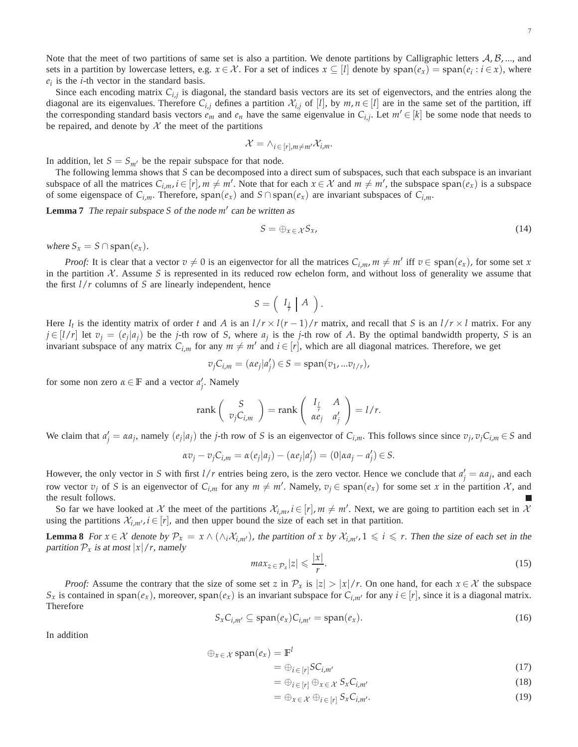Note that the meet of two partitions of same set is also a partition. We denote partitions by Calligraphic letters  $A, B, \ldots$ , and sets in a partition by lowercase letters, e.g.  $x \in \mathcal{X}$ . For a set of indices  $x \subseteq [l]$  denote by  $\text{span}(e_x) = \text{span}(e_i : i \in x)$ , where  $e_i$  is the *i*-th vector in the standard basis.

Since each encoding matrix  $C_{i,j}$  is diagonal, the standard basis vectors are its set of eigenvectors, and the entries along the diagonal are its eigenvalues. Therefore  $C_{i,j}$  defines a partition  $\mathcal{X}_{i,j}$  of [*l*], by  $m, n \in [l]$  are in the same set of the partition, iff the corresponding standard basis vectors  $e_m$  and  $e_n$  have the same eigenvalue in  $C_{i,j}$ . Let  $m' \in [k]$  be some node that needs to be repaired, and denote by  $\mathcal X$  the meet of the partitions

$$
\mathcal{X} = \wedge_{i \in [r], m \neq m'} \mathcal{X}_{i,m}.
$$

In addition, let  $S = S_{m'}$  be the repair subspace for that node.

The following lemma shows that *S* can be decomposed into a direct sum of subspaces, such that each subspace is an invariant subspace of all the matrices  $C_{i,m}$ ,  $i \in [r]$ ,  $m \neq m'$ . Note that for each  $x \in \mathcal{X}$  and  $m \neq m'$ , the subspace span $(e_x)$  is a subspace of some eigenspace of  $C_{i,m}$ . Therefore,  $\text{span}(e_x)$  and  $S \cap \text{span}(e_x)$  are invariant subspaces of  $C_{i,m}$ .

**Lemma 7** The repair subspace *S* of the node *m*′ can be written as

<span id="page-6-2"></span>
$$
S = \bigoplus_{x \in \mathcal{X}} S_x, \tag{14}
$$

where  $S_x = S \cap \text{span}(e_x)$ .

*Proof:* It is clear that a vector  $v \neq 0$  is an eigenvector for all the matrices  $C_{i,m}$ ,  $m \neq m'$  iff  $v \in span(e_x)$ , for some set *x* in the partition  $X$ . Assume S is represented in its reduced row echelon form, and without loss of generality we assume that the first *l*/*r* columns of *S* are linearly independent, hence

$$
S = \left( \begin{array}{c|c} I_{\frac{l}{r}} & A \end{array} \right).
$$

Here  $I_t$  is the identity matrix of order *t* and *A* is an  $l/r \times l(r-1)/r$  matrix, and recall that *S* is an  $l/r \times l$  matrix. For any  $j \in [l/r]$  let  $v_j = (e_j | a_j)$  be the j-th row of S, where  $a_j$  is the j-th row of A. By the optimal bandwidth property, S is an invariant subspace of any matrix  $C_{i,m}$  for any  $m \neq m'$  and  $i \in [r]$ , which are all diagonal matrices. Therefore, we get

$$
v_j C_{i,m} = (\alpha e_j | a'_j) \in S = \text{span}(v_1, \dots v_{l/r}),
$$

for some non zero  $\alpha \in \mathbb{F}$  and a vector  $a'_j$ . Namely

$$
\operatorname{rank}\left(\begin{array}{c}S\\v_jC_{i,m}\end{array}\right)=\operatorname{rank}\left(\begin{array}{cc}I_{\frac{1}{r}}&A\\ \alpha e_j&a'_j\end{array}\right)=1/r.
$$

We claim that  $a'_j = \alpha a_j$ , namely  $(e_j | a_j)$  the *j*-th row of S is an eigenvector of  $C_{i,m}$ . This follows since since  $v_j$ ,  $v_j C_{i,m} \in S$  and

$$
\alpha v_j - v_j C_{i,m} = \alpha(e_j|a_j) - (\alpha e_j|a_j') = (0|\alpha a_j - a_j') \in S.
$$

However, the only vector in *S* with first  $l/r$  entries being zero, is the zero vector. Hence we conclude that  $a'_j = \alpha a_j$ , and each row vector  $v_j$  of *S* is an eigenvector of  $C_{i,m}$  for any  $m \neq m'$ . Namely,  $v_j \in span(e_x)$  for some set *x* in the partition X, and the result follows.

So far we have looked at X the meet of the partitions  $\mathcal{X}_{i,m}$ ,  $i \in [r]$ ,  $m \neq m'$ . Next, we are going to partition each set in X using the partitions  $\mathcal{X}_{i,m'}$ ,  $i \in [r]$ , and then upper bound the size of each set in that partition.

**Lemma 8** For  $x \in \mathcal{X}$  denote by  $\mathcal{P}_x = x \wedge (\wedge_i \mathcal{X}_{i,m'})$ , the partition of x by  $\mathcal{X}_{i,m'}$ ,  $1 \leq i \leq r$ . Then the size of each set in the partition  $P_x$  is at most  $|x|/r$ , namely

<span id="page-6-5"></span>
$$
max_{z \in \mathcal{P}_x} |z| \leqslant \frac{|x|}{r}.
$$
\n<sup>(15)</sup>

*Proof:* Assume the contrary that the size of some set *z* in  $\mathcal{P}_x$  is  $|z| > |x|/r$ . On one hand, for each  $x \in \mathcal{X}$  the subspace *S*<sub>*x*</sub> is contained in span( $e_x$ ), moreover, span( $e_x$ ) is an invariant subspace for  $C_{i,m'}$  for any  $i \in [r]$ , since it is a diagonal matrix. Therefore

<span id="page-6-3"></span>
$$
S_x C_{i,m'} \subseteq \text{span}(e_x) C_{i,m'} = \text{span}(e_x). \tag{16}
$$

In addition

$$
\oplus_{x \,\in\, \mathcal{X}}\,\mathrm{span}(e_x) = \mathbb{F}^l
$$

$$
=\oplus_{i\in[r]}SC_{i,m'}\tag{17}
$$

<span id="page-6-0"></span> $= \bigoplus_{i \in [r]} \bigoplus_{x \in \mathcal{X}} S_x C_{i,m'}$  (18)

<span id="page-6-4"></span><span id="page-6-1"></span>
$$
= \bigoplus_{x \in \mathcal{X}} \bigoplus_{i \in [r]} S_x C_{i,m'}.
$$
\n(19)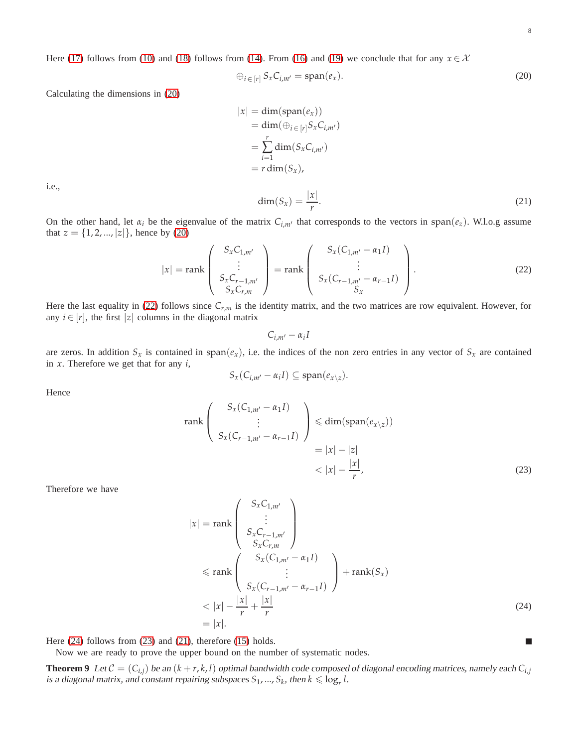<span id="page-7-3"></span><span id="page-7-2"></span>г

Here [\(17\)](#page-6-0) follows from [\(10\)](#page-3-5) and [\(18\)](#page-6-1) follows from [\(14\)](#page-6-2). From [\(16\)](#page-6-3) and [\(19\)](#page-6-4) we conclude that for any  $x \in \mathcal{X}$ 

<span id="page-7-0"></span>
$$
\bigoplus_{i \in [r]} S_x C_{i,m'} = \text{span}(e_x). \tag{20}
$$

Calculating the dimensions in [\(20\)](#page-7-0)

<span id="page-7-4"></span>
$$
|x| = \dim(\text{span}(e_x))
$$
  
=  $\dim(\bigoplus_{i \in [r]} S_x C_{i,m'}$ )  
=  $\sum_{i=1}^r \dim(S_x C_{i,m'})$   
=  $r \dim(S_x)$ ,  
 $\dim(S_x) = \frac{|x|}{r}$ . (21)

i.e.,

On the other hand, let  $\alpha_i$  be the eigenvalue of the matrix  $C_{i,m'}$  that corresponds to the vectors in span( $e_z$ ). W.l.o.g assume that  $z = \{1, 2, ..., |z|\}$ , hence by [\(20\)](#page-7-0)

<span id="page-7-1"></span>
$$
|x| = \text{rank}\begin{pmatrix} S_x C_{1,m'} \\ \vdots \\ S_x C_{r-1,m'} \\ S_x C_{r,m} \end{pmatrix} = \text{rank}\begin{pmatrix} S_x (C_{1,m'} - \alpha_1 I) \\ \vdots \\ S_x (C_{r-1,m'} - \alpha_{r-1} I) \\ S_x \end{pmatrix}.
$$
 (22)

Here the last equality in [\(22\)](#page-7-1) follows since *Cr*,*<sup>m</sup>* is the identity matrix, and the two matrices are row equivalent. However, for any  $i \in [r]$ , the first |*z*| columns in the diagonal matrix

$$
C_{i,m'}-\alpha_i I
$$

are zeros. In addition  $S_x$  is contained in span $(e_x)$ , i.e. the indices of the non zero entries in any vector of  $S_x$  are contained in *x*. Therefore we get that for any *i*,

$$
S_x(C_{i,m'} - \alpha_i I) \subseteq \mathrm{span}(e_{x \setminus z}).
$$

Hence

$$
\operatorname{rank}\left(\begin{array}{c} S_x(C_{1,m'} - \alpha_1 I) \\ \vdots \\ S_x(C_{r-1,m'} - \alpha_{r-1} I) \end{array}\right) \leq \operatorname{dim}(\operatorname{span}(e_{x\setminus z}))
$$

$$
= |x| - |z|
$$

$$
< |x| - \frac{|x|}{r}, \tag{23}
$$

Therefore we have

$$
|x| = \operatorname{rank}\begin{pmatrix} S_x C_{1,m'} \\ \vdots \\ S_x C_{r-1,m'} \\ S_x C_{r,m} \end{pmatrix}
$$
  
\n
$$
\leq \operatorname{rank}\begin{pmatrix} S_x (C_{1,m'} - \alpha_1 I) \\ \vdots \\ S_x (C_{r-1,m'} - \alpha_{r-1} I) \end{pmatrix} + \operatorname{rank}(S_x)
$$
  
\n
$$
< |x| - \frac{|x|}{r} + \frac{|x|}{r}
$$
  
\n
$$
= |x|.
$$
\n(24)

Here [\(24\)](#page-7-2) follows from [\(23\)](#page-7-3) and [\(21\)](#page-7-4), therefore [\(15\)](#page-6-5) holds.

Now we are ready to prove the upper bound on the number of systematic nodes.

**Theorem 9** Let  $C = (C_{i,j})$  be an  $(k + r, k, l)$  optimal bandwidth code composed of diagonal encoding matrices, namely each  $C_{i,j}$ is a diagonal matrix, and constant repairing subspaces  $S_1$ , ...,  $S_k$ , then  $k \leq \log_r l$ .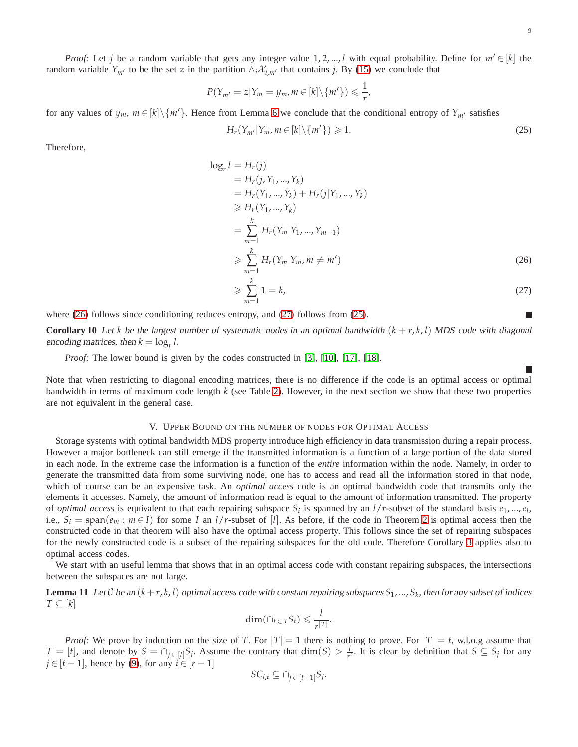*Proof:* Let *j* be a random variable that gets any integer value 1, 2, ..., *l* with equal probability. Define for  $m' \in [k]$  the random variable  $Y_{m'}$  to be the set *z* in the partition  $\wedge_i X_{i,m'}$  that contains *j*. By [\(15\)](#page-6-5) we conclude that

$$
P(Y_{m'}=z|Y_m=y_m,m\in[k]\backslash\{m'\})\leqslant\frac{1}{r},
$$

for any values of  $y_m$ ,  $m \in [k] \setminus \{m'\}$ . Hence from Lemma [6](#page-5-1) we conclude that the conditional entropy of  $Y_{m'}$  satisfies

<span id="page-8-3"></span>
$$
H_r(Y_{m'}|Y_m, m \in [k] \setminus \{m'\}) \geq 1. \tag{25}
$$

Therefore,

$$
g_r l = H_r(j)
$$
  
=  $H_r(j, Y_1, ..., Y_k)$   
=  $H_r(Y_1, ..., Y_k) + H_r(j|Y_1, ..., Y_k)$   

$$
\geq H_r(Y_1, ..., Y_k)
$$
  
= 
$$
\sum_{m=1}^k H_r(Y_m|Y_1, ..., Y_{m-1})
$$
  

$$
\geq \sum_{m=1}^k H_r(Y_m|Y_m, m \neq m')
$$
 (26)

$$
\geqslant \sum_{m=1}^{k} 1 = k,\tag{27}
$$

where [\(26\)](#page-8-1) follows since conditioning reduces entropy, and [\(27\)](#page-8-2) follows from [\(25\)](#page-8-3).

log*<sup>r</sup>*

**Corollary 10** Let *k* be the largest number of systematic nodes in an optimal bandwidth  $(k + r, k, l)$  MDS code with diagonal encoding matrices, then  $k = \log_r l$ .

*Proof:* The lower bound is given by the codes constructed in [\[3\]](#page-11-17), [\[10\]](#page-11-18), [\[17\]](#page-11-5), [\[18\]](#page-11-21).

 $\overline{\phantom{a}}$ 

<span id="page-8-2"></span><span id="page-8-1"></span>Г

Note that when restricting to diagonal encoding matrices, there is no difference if the code is an optimal access or optimal bandwidth in terms of maximum code length *k* (see Table [2\)](#page-1-2). However, in the next section we show that these two properties are not equivalent in the general case.

## V. UPPER BOUND ON THE NUMBER OF NODES FOR OPTIMAL ACCESS

<span id="page-8-0"></span>Storage systems with optimal bandwidth MDS property introduce high efficiency in data transmission during a repair process. However a major bottleneck can still emerge if the transmitted information is a function of a large portion of the data stored in each node. In the extreme case the information is a function of the *entire* information within the node. Namely, in order to generate the transmitted data from some surviving node, one has to access and read all the information stored in that node, which of course can be an expensive task. An *optimal access* code is an optimal bandwidth code that transmits only the elements it accesses. Namely, the amount of information read is equal to the amount of information transmitted. The property of *optimal access* is equivalent to that each repairing subspace  $S_i$  is spanned by an  $l/r$ -subset of the standard basis  $e_1, ..., e_l$ , i.e.,  $S_i = \text{span}(e_m : m \in I)$  for some *I* an  $l/r$ -subset of [*l*]. As before, if the code in Theorem [2](#page-3-3) is optimal access then the constructed code in that theorem will also have the optimal access property. This follows since the set of repairing subspaces for the newly constructed code is a subset of the repairing subspaces for the old code. Therefore Corollary [3](#page-3-4) applies also to optimal access codes.

We start with an useful lemma that shows that in an optimal access code with constant repairing subspaces, the intersections between the subspaces are not large.

**Lemma 11** Let  $C$  be an  $(k+r, k, l)$  optimal access code with constant repairing subspaces  $S_1, ..., S_k$ , then for any subset of indices *T* ⊆ [*k*]

$$
\dim(\bigcap_{t\in T}S_t)\leqslant \frac{l}{r^{|T|}}.
$$

*Proof:* We prove by induction on the size of *T*. For  $|T| = 1$  there is nothing to prove. For  $|T| = t$ , w.l.o.g assume that  $T = [t]$ , and denote by  $S = \bigcap_{j \in [t]} S_j$ . Assume the contrary that  $\dim(S) > \frac{l}{r^t}$ . It is clear by definition that  $S \subseteq S_j$  for any  $j \in [t-1]$ , hence by [\(9\)](#page-3-6), for any  $i \in [r-1]$ 

$$
SC_{i,t} \subseteq \bigcap_{j \in [t-1]} S_j.
$$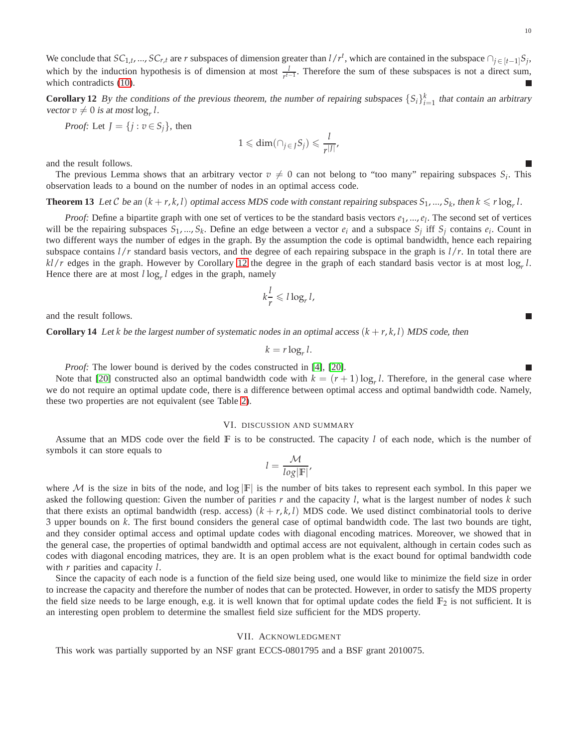We conclude that  $SC_{1,t}$ , ...,  $SC_{r,t}$  are r subspaces of dimension greater than  $l/r^t$ , which are contained in the subspace  $\bigcap_{j \in [t-1]} S_j$ , which by the induction hypothesis is of dimension at most  $\frac{l}{r^{t-1}}$ . Therefore the sum of these subspaces is not a direct sum, which contradicts [\(10\)](#page-3-5). E

<span id="page-9-1"></span>**Corollary 12** By the conditions of the previous theorem, the number of repairing subspaces  $\{S_i\}_{i=1}^k$  that contain an arbitrary vector  $v \neq 0$  is at most  $\log_r l$ .

*Proof:* Let  $J = \{j : v \in S_j\}$ , then

$$
1 \leqslant \dim(\bigcap_{j \in J} S_j) \leqslant \frac{l}{r^{|J|}},
$$

and the result follows.

The previous Lemma shows that an arbitrary vector  $v \neq 0$  can not belong to "too many" repairing subspaces  $S_i$ . This observation leads to a bound on the number of nodes in an optimal access code.

**Theorem 13** Let C be an  $(k + r, k, l)$  optimal access MDS code with constant repairing subspaces  $S_1, ..., S_k$ , then  $k \le r \log_r l$ .

*Proof*: Define a bipartite graph with one set of vertices to be the standard basis vectors  $e_1$ , ...,  $e_l$ . The second set of vertices will be the repairing subspaces  $S_1$ , ...,  $S_k$ . Define an edge between a vector  $e_i$  and a subspace  $S_j$  iff  $S_j$  contains  $e_i$ . Count in two different ways the number of edges in the graph. By the assumption the code is optimal bandwidth, hence each repairing subspace contains *l*/*r* standard basis vectors, and the degree of each repairing subspace in the graph is *l*/*r*. In total there are *kl*/*r* edges in the graph. However by Corollary [12](#page-9-1) the degree in the graph of each standard basis vector is at most log*<sup>r</sup> l*. Hence there are at most *l* log*<sup>r</sup> l* edges in the graph, namely

$$
k\frac{l}{r} \leqslant l\log_r l,
$$

and the result follows.

**Corollary 14** Let *k* be the largest number of systematic nodes in an optimal access  $(k + r, k, l)$  MDS code, then

$$
k = r \log_r l.
$$

*Proof:* The lower bound is derived by the codes constructed in [\[4\]](#page-11-7), [\[20\]](#page-11-6).

Note that [\[20\]](#page-11-6) constructed also an optimal bandwidth code with  $k = (r + 1) \log_r l$ . Therefore, in the general case where we do not require an optimal update code, there is a difference between optimal access and optimal bandwidth code. Namely, these two properties are not equivalent (see Table [2\)](#page-1-2).

### VI. DISCUSSION AND SUMMARY

<span id="page-9-0"></span>Assume that an MDS code over the field **F** is to be constructed. The capacity *l* of each node, which is the number of symbols it can store equals to

$$
l = \frac{\mathcal{M}}{\log|\mathbb{F}|},
$$

where M is the size in bits of the node, and  $\log |F|$  is the number of bits takes to represent each symbol. In this paper we asked the following question: Given the number of parities *r* and the capacity *l*, what is the largest number of nodes *k* such that there exists an optimal bandwidth (resp. access)  $(k + r, k, l)$  MDS code. We used distinct combinatorial tools to derive 3 upper bounds on *k*. The first bound considers the general case of optimal bandwidth code. The last two bounds are tight, and they consider optimal access and optimal update codes with diagonal encoding matrices. Moreover, we showed that in the general case, the properties of optimal bandwidth and optimal access are not equivalent, although in certain codes such as codes with diagonal encoding matrices, they are. It is an open problem what is the exact bound for optimal bandwidth code with *r* parities and capacity *l*.

Since the capacity of each node is a function of the field size being used, one would like to minimize the field size in order to increase the capacity and therefore the number of nodes that can be protected. However, in order to satisfy the MDS property the field size needs to be large enough, e.g. it is well known that for optimal update codes the field  $\mathbb{F}_2$  is not sufficient. It is an interesting open problem to determine the smallest field size sufficient for the MDS property.

#### VII. ACKNOWLEDGMENT

This work was partially supported by an NSF grant ECCS-0801795 and a BSF grant 2010075.

П

 $\Box$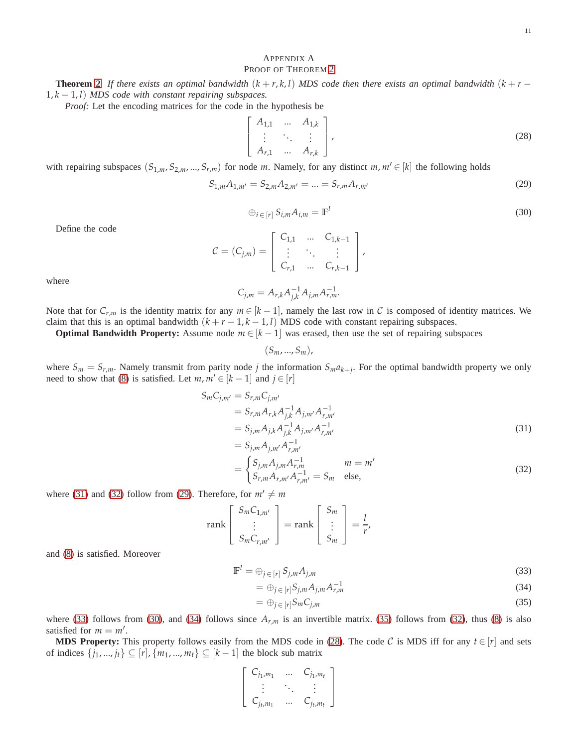<span id="page-10-2"></span><span id="page-10-1"></span>(30)

## <span id="page-10-0"></span>APPENDIX A

## PROOF OF THEOREM [2](#page-3-3)

**Theorem [2](#page-3-3)** If there exists an optimal bandwidth  $(k + r, k, l)$  MDS code then there exists an optimal bandwidth  $(k + r - l)$ 1, *k* − 1, *l*) *MDS code with constant repairing subspaces.*

*Proof:* Let the encoding matrices for the code in the hypothesis be

<span id="page-10-8"></span>
$$
\begin{bmatrix}\nA_{1,1} & \dots & A_{1,k} \\
\vdots & \ddots & \vdots \\
A_{r,1} & \dots & A_{r,k}\n\end{bmatrix},
$$
\n(28)

with repairing subspaces  $(S_{1,m}, S_{2,m}, ..., S_{r,m})$  for node *m*. Namely, for any distinct  $m, m' \in [k]$  the following holds

<span id="page-10-3"></span>
$$
S_{1,m}A_{1,m'} = S_{2,m}A_{2,m'} = \dots = S_{r,m}A_{r,m'}
$$
\n(29)

Define the code

$$
C = (C_{j,m}) = \left[ \begin{array}{ccc} C_{1,1} & \dots & C_{1,k-1} \\ \vdots & \ddots & \vdots \\ C_{r,1} & \dots & C_{r,k-1} \end{array} \right],
$$

<span id="page-10-5"></span> $\oplus_{i \in [r]} S_{i,m} A_{i,m} = \mathbb{F}^l$ 

where

$$
C_{j,m} = A_{r,k} A_{j,k}^{-1} A_{j,m} A_{r,m}^{-1}.
$$

Note that for  $C_{r,m}$  is the identity matrix for any  $m \in [k-1]$ , namely the last row in C is composed of identity matrices. We claim that this is an optimal bandwidth  $(k + r - 1, k - 1, l)$  MDS code with constant repairing subspaces.

**Optimal Bandwidth Property:** Assume node  $m \in [k-1]$  was erased, then use the set of repairing subspaces

$$
(S_m, ..., S_m),
$$

where  $S_m = S_{r,m}$ . Namely transmit from parity node *j* the information  $S_m a_{k+j}$ . For the optimal bandwidth property we only need to show that [\(8\)](#page-3-2) is satisfied. Let  $m, m' \in [k-1]$  and  $j \in [r]$ 

$$
S_{m}C_{j,m'} = S_{r,m}C_{j,m'}
$$
  
=  $S_{r,m}A_{r,k}A_{j,k}^{-1}A_{j,m'}A_{r,m'}^{-1}$   
=  $S_{j,m}A_{j,k}A_{j,k}^{-1}A_{j,m'}A_{r,m'}^{-1}$   
=  $S_{j,m}A_{j,m'}A_{r,m'}^{-1}$  (31)

$$
= \begin{cases} S_{j,m} A_{j,m} A_{r,m}^{-1} & m = m' \\ S_{r,m} A_{r,m'} A_{r,m'}^{-1} = S_m & \text{else,} \end{cases}
$$
 (32)

where [\(31\)](#page-10-1) and [\(32\)](#page-10-2) follow from [\(29\)](#page-10-3). Therefore, for  $m' \neq m$ 

$$
\operatorname{rank}\left[\begin{array}{c} S_m C_{1,m'} \\ \vdots \\ S_m C_{r,m'} \end{array}\right] = \operatorname{rank}\left[\begin{array}{c} S_m \\ \vdots \\ S_m \end{array}\right] = \frac{l}{r'}
$$

and [\(8\)](#page-3-2) is satisfied. Moreover

$$
\mathbb{F}^l = \bigoplus_{j \in [r]} S_{j,m} A_{j,m} \tag{33}
$$

$$
=\oplus_{j\in[r]}S_{j,m}A_{j,m}A_{r,m}^{-1}
$$
\n(34)

<span id="page-10-7"></span><span id="page-10-6"></span><span id="page-10-4"></span>
$$
= \bigoplus_{j \in [r]} S_m C_{j,m} \tag{35}
$$

where [\(33\)](#page-10-4) follows from [\(30\)](#page-10-5), and [\(34\)](#page-10-6) follows since  $A_{r,m}$  is an invertible matrix. [\(35\)](#page-10-7) follows from [\(32\)](#page-10-2), thus [\(8\)](#page-3-2) is also satisfied for  $m = m'$ .

**MDS Property:** This property follows easily from the MDS code in [\(28\)](#page-10-8). The code  $C$  is MDS iff for any  $t \in [r]$  and sets of indices  $\{j_1, ..., j_t\} \subseteq [r]$ ,  $\{m_1, ..., m_t\} \subseteq [k-1]$  the block sub matrix

$$
\left[\begin{array}{ccc} C_{j_1,m_1} & \dots & C_{j_1,m_t} \\ \vdots & \ddots & \vdots \\ C_{j_t,m_1} & \dots & C_{j_t,m_t} \end{array}\right]
$$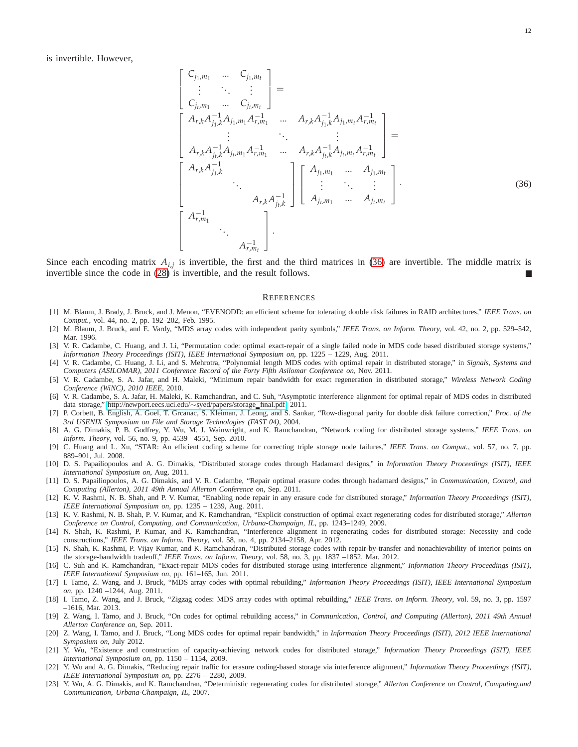is invertible. However,

$$
\begin{bmatrix}\nC_{j_1,m_1} & \dots & C_{j_1,m_t} \\
\vdots & \ddots & \vdots \\
C_{j_t,m_1} & \dots & C_{j_t,m_t}\n\end{bmatrix} = \n\begin{bmatrix}\nA_{r,k}A_{j_1,k}^{-1}A_{j_1,m_1}A_{r,m_1}^{-1} & \dots & A_{r,k}A_{j_1,k}^{-1}A_{j_1,m_t}A_{r,m_t}^{-1} \\
\vdots & \ddots & \vdots \\
A_{r,k}A_{j_r,k}^{-1}A_{j_t,m_1}A_{r,m_1}^{-1} & \dots & A_{r,k}A_{j_t,k}^{-1}A_{j_t,m_t}A_{r,m_t}\n\end{bmatrix} = \n\begin{bmatrix}\nA_{r,k}A_{j_1,k}^{-1} & \dots & A_{j_1,m_t} \\
\vdots & \ddots & \vdots \\
A_{r,k}A_{j_t,k}^{-1} & \dots & A_{j_t,m_t}\n\end{bmatrix} \n\begin{bmatrix}\nA_{j_1,m_1} & \dots & A_{j_1,m_t} \\
\vdots & \ddots & \vdots \\
A_{r,m_1} & \dots & A_{j_t,m_t}\n\end{bmatrix}.
$$
\n(36)

Since each encoding matrix  $A_{i,j}$  is invertible, the first and the third matrices in [\(36\)](#page-11-22) are invertible. The middle matrix is invertible since the code in [\(28\)](#page-10-8) is invertible, and the result follows.

#### <span id="page-11-22"></span>**REFERENCES**

- <span id="page-11-0"></span>[1] M. Blaum, J. Brady, J. Bruck, and J. Menon, "EVENODD: an efficient scheme for tolerating double disk failures in RAID architectures," *IEEE Trans. on Comput.*, vol. 44, no. 2, pp. 192–202, Feb. 1995.
- <span id="page-11-1"></span>[2] M. Blaum, J. Bruck, and E. Vardy, "MDS array codes with independent parity symbols," *IEEE Trans. on Inform. Theory*, vol. 42, no. 2, pp. 529–542, Mar. 1996.
- <span id="page-11-17"></span>[3] V. R. Cadambe, C. Huang, and J. Li, "Permutation code: optimal exact-repair of a single failed node in MDS code based distributed storage systems," *Information Theory Proceedings (ISIT), IEEE International Symposium on*, pp. 1225 – 1229, Aug. 2011.
- <span id="page-11-7"></span>[4] V. R. Cadambe, C. Huang, J. Li, and S. Mehrotra, "Polynomial length MDS codes with optimal repair in distributed storage," in *Signals, Systems and Computers (ASILOMAR), 2011 Conference Record of the Forty Fifth Asilomar Conference on*, Nov. 2011.
- <span id="page-11-9"></span>[5] V. R. Cadambe, S. A. Jafar, and H. Maleki, "Minimum repair bandwidth for exact regeneration in distributed storage," *Wireless Network Coding Conference (WiNC), 2010 IEEE,* 2010.
- <span id="page-11-16"></span>[6] V. R. Cadambe, S. A. Jafar, H. Maleki, K. Ramchandran, and C. Suh, "Asymptotic interference alignment for optimal repair of MDS codes in distributed data storage," [http://newport.eecs.uci.edu/](http://newport.eecs.uci.edu/~syed/papers/storage_final.pdf)∼syed/papers/storage final.pdf, 2011.
- <span id="page-11-2"></span>[7] P. Corbett, B. English, A. Goel, T. Grcanac, S. Kleiman, J. Leong, and S. Sankar, "Row-diagonal parity for double disk failure correction," *Proc. of the 3rd USENIX Symposium on File and Storage Technologies (FAST 04)*, 2004.
- <span id="page-11-4"></span>[8] A. G. Dimakis, P. B. Godfrey, Y. Wu, M. J. Wainwright, and K. Ramchandran, "Network coding for distributed storage systems," *IEEE Trans. on Inform. Theory*, vol. 56, no. 9, pp. 4539 –4551, Sep. 2010.
- <span id="page-11-3"></span>[9] C. Huang and L. Xu, "STAR: An efficient coding scheme for correcting triple storage node failures," *IEEE Trans. on Comput.*, vol. 57, no. 7, pp. 889–901, Jul. 2008.
- <span id="page-11-18"></span>[10] D. S. Papailiopoulos and A. G. Dimakis, "Distributed storage codes through Hadamard designs," in *Information Theory Proceedings (ISIT), IEEE International Symposium on*, Aug. 2011.
- <span id="page-11-19"></span>[11] D. S. Papailiopoulos, A. G. Dimakis, and V. R. Cadambe, "Repair optimal erasure codes through hadamard designs," in *Communication, Control, and Computing (Allerton), 2011 49th Annual Allerton Conference on*, Sep. 2011.
- <span id="page-11-10"></span>[12] K. V. Rashmi, N. B. Shah, and P. V. Kumar, "Enabling node repair in any erasure code for distributed storage," *Information Theory Proceedings (ISIT), IEEE International Symposium on*, pp. 1235 – 1239, Aug. 2011.
- [13] K. V. Rashmi, N. B. Shah, P. V. Kumar, and K. Ramchandran, "Explicit construction of optimal exact regenerating codes for distributed storage," *Allerton Conference on Control, Computing, and Communication, Urbana-Champaign, IL*, pp. 1243–1249, 2009.
- <span id="page-11-11"></span>[14] N. Shah, K. Rashmi, P. Kumar, and K. Ramchandran, "Interference alignment in regenerating codes for distributed storage: Necessity and code constructions," *IEEE Trans. on Inform. Theory*, vol. 58, no. 4, pp. 2134–2158, Apr. 2012.
- <span id="page-11-8"></span>[15] N. Shah, K. Rashmi, P. Vijay Kumar, and K. Ramchandran, "Distributed storage codes with repair-by-transfer and nonachievability of interior points on the storage-bandwidth tradeoff," *IEEE Trans. on Inform. Theory*, vol. 58, no. 3, pp. 1837 –1852, Mar. 2012.
- <span id="page-11-12"></span>[16] C. Suh and K. Ramchandran, "Exact-repair MDS codes for distributed storage using interference alignment," *Information Theory Proceedings (ISIT), IEEE International Symposium on*, pp. 161–165, Jun. 2011.
- <span id="page-11-5"></span>[17] I. Tamo, Z. Wang, and J. Bruck, "MDS array codes with optimal rebuilding," *Information Theory Proceedings (ISIT), IEEE International Symposium on*, pp. 1240 –1244, Aug. 2011.
- <span id="page-11-21"></span>[18] I. Tamo, Z. Wang, and J. Bruck, "Zigzag codes: MDS array codes with optimal rebuilding," *IEEE Trans. on Inform. Theory*, vol. 59, no. 3, pp. 1597 –1616, Mar. 2013.
- <span id="page-11-20"></span>[19] Z. Wang, I. Tamo, and J. Bruck, "On codes for optimal rebuilding access," in *Communication, Control, and Computing (Allerton), 2011 49th Annual Allerton Conference on*, Sep. 2011.
- <span id="page-11-6"></span>[20] Z. Wang, I. Tamo, and J. Bruck, "Long MDS codes for optimal repair bandwidth," in *Information Theory Proceedings (ISIT), 2012 IEEE International Symposium on*, July 2012.
- <span id="page-11-13"></span>[21] Y. Wu, "Existence and construction of capacity-achieving network codes for distributed storage," *Information Theory Proceedings (ISIT), IEEE International Symposium on*, pp. 1150 – 1154, 2009.
- <span id="page-11-15"></span>[22] Y. Wu and A. G. Dimakis, "Reducing repair traffic for erasure coding-based storage via interference alignment," *Information Theory Proceedings (ISIT), IEEE International Symposium on*, pp. 2276 – 2280, 2009.
- <span id="page-11-14"></span>[23] Y. Wu, A. G. Dimakis, and K. Ramchandran, "Deterministic regenerating codes for distributed storage," *Allerton Conference on Control, Computing,and Communication, Urbana-Champaign, IL*, 2007.